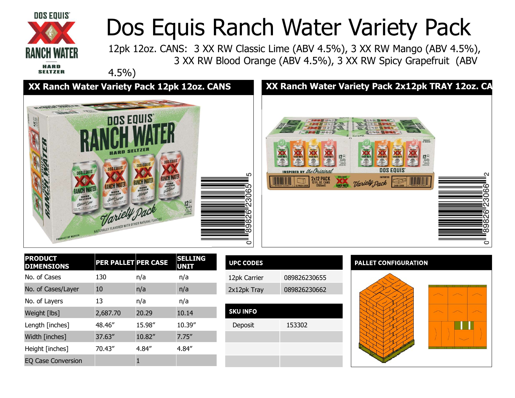

# Dos Equis Ranch Water Variety Pack<br>12pk 12oz. CANS: 3 XX RW Classic Lime (ABV 4.5%), 3 XX RW Mango (ABV 4.5%),<br>3 XX RW Blood Orange (ABV 4.5%), 3 XX RW Spicy Grapefruit (ABV

12pk 12oz. CANS: 3 XX RW Classic Lime (ABV 4.5%), 3 XX RW Mango (ABV 4.5%), 3 XX RW Blood Orange (ABV 4.5%), 3 XX RW Spicy Grapefruit (ABV



| ю.<br>$126$<br><i>GANS</i><br><i>GANS</i><br><i>GASS<sub>GAS</sub></i><br><b>LUCH WAIT</b><br><b>LUNCH WATE</b><br><b>NOR WAT</b><br><b>SANTA</b><br>the Original<br>DOS EQUIS<br>2x12 PACK<br><b>ANCH WATER</b> | <b>Retractive</b><br>PRODUCT<br>OF MEXICO<br><b>A</b><br>$\bullet$<br>$\prod_{\substack{GAMS\\(GSMG)\text{SS}m/\text{C}}}\n \prod_{\substack{GK\\(GSMG)\text{CS}m/\text{C}}}$<br><b><i>AMCH WATER</i></b><br><b>LUICH WITH</b><br><b>BANCH WATER</b><br><b>LUNCH INGLES</b><br><b>SHOW</b><br>墨<br><b>TEXAS</b><br>DOS EQUIS<br>Variety Pack | 2<br>ဖ<br>6<br>O<br>ౚ<br>X۱.<br>ဖ<br>Ñ<br>$\infty$<br>თ<br>∞<br>O |
|------------------------------------------------------------------------------------------------------------------------------------------------------------------------------------------------------------------|----------------------------------------------------------------------------------------------------------------------------------------------------------------------------------------------------------------------------------------------------------------------------------------------------------------------------------------------|-------------------------------------------------------------------|
| <b>UPC CODES</b>                                                                                                                                                                                                 | <b>PALLET CONFIGURATION</b>                                                                                                                                                                                                                                                                                                                  |                                                                   |
| 12pk Carrier<br>089826230655                                                                                                                                                                                     |                                                                                                                                                                                                                                                                                                                                              |                                                                   |
| 2x12pk Tray<br>089826230662                                                                                                                                                                                      |                                                                                                                                                                                                                                                                                                                                              |                                                                   |
|                                                                                                                                                                                                                  |                                                                                                                                                                                                                                                                                                                                              |                                                                   |
| 153302                                                                                                                                                                                                           |                                                                                                                                                                                                                                                                                                                                              |                                                                   |
|                                                                                                                                                                                                                  |                                                                                                                                                                                                                                                                                                                                              | XX Ranch Water Variety Pack 2x12pk TRAY 12oz. CA                  |

| DOS EQUIS<br><b>NCH WATER</b><br><b>HARD</b><br>SELTZER<br>Classicopin<br>PRODUCT OF MEXICO | HARD<br>DOS EQUIS<br><b>RANCH WATER</b><br>SELTZER<br>NATURALLY FLAVORED WITH OTHER NATURAL FLAVORS | DOS EQUIS<br>DOS EQUIS<br><b>RANCH WATER</b><br><b>RANCH WATER</b><br>SELTZER<br>SELTZER<br>Mange | $126$<br>CANS                 | 5<br>Ω<br>ဖ<br>ო<br>N<br>ω<br>N<br>ထ<br>თ<br>ထ<br>$\circ$ | <b>ELNCH WATER</b><br>$\underset{\substack{\text{GAN}\\\text{of } \text{R, M}\\ \text{of } \text{M, M}\\ \text{of } \text{M, M}}} {\underset{\text{of } \text{M, M}}{\bigcap}}$<br><b>LUCE WATER</b><br><b>LUICH WATER</b><br><b>LUCH WATER</b><br><b>INSPIRED BY the Original</b><br>DOS EQUI<br>2x12 PACK<br><b>BANCH WATER</b><br>12 PACK COD | <b>LINCH WITH</b><br><b>LIVES INTO</b><br>$\begin{array}{c} \overbrace{\text{min}}\\ \overbrace{\text{max}}\\ \end{array}$<br><b>DOS</b><br><b>IMPORTED</b><br>Variety Pack |
|---------------------------------------------------------------------------------------------|-----------------------------------------------------------------------------------------------------|---------------------------------------------------------------------------------------------------|-------------------------------|-----------------------------------------------------------|--------------------------------------------------------------------------------------------------------------------------------------------------------------------------------------------------------------------------------------------------------------------------------------------------------------------------------------------------|-----------------------------------------------------------------------------------------------------------------------------------------------------------------------------|
| <b>PRODUCT</b><br><b>DIMENSIONS</b>                                                         | <b>PER PALLET PER CASE</b>                                                                          |                                                                                                   | <b>SELLING</b><br><b>UNIT</b> | <b>UPC CODES</b>                                          |                                                                                                                                                                                                                                                                                                                                                  | <b>PALLET CON</b>                                                                                                                                                           |
| No. of Cases                                                                                | 130                                                                                                 | n/a                                                                                               | n/a                           | 12pk Carrier                                              | 089826230655                                                                                                                                                                                                                                                                                                                                     |                                                                                                                                                                             |
| No. of Cases/Layer                                                                          | 10                                                                                                  | n/a                                                                                               | n/a                           | 2x12pk Tray                                               | 089826230662                                                                                                                                                                                                                                                                                                                                     |                                                                                                                                                                             |
| No. of Layers                                                                               | 13                                                                                                  | n/a                                                                                               | n/a                           |                                                           |                                                                                                                                                                                                                                                                                                                                                  |                                                                                                                                                                             |
| Weight [lbs]                                                                                | 2,687.70                                                                                            | 20.29                                                                                             | 10.14                         | <b>SKU INFO</b>                                           |                                                                                                                                                                                                                                                                                                                                                  |                                                                                                                                                                             |
| Length [inches]                                                                             | 48.46"                                                                                              | 15.98"                                                                                            | 10.39"                        | Deposit                                                   | 153302                                                                                                                                                                                                                                                                                                                                           |                                                                                                                                                                             |
| Width [inches]                                                                              | 37.63"                                                                                              | 10.82"                                                                                            | 7.75''                        |                                                           |                                                                                                                                                                                                                                                                                                                                                  |                                                                                                                                                                             |
| Height [inches]                                                                             | 70.43"                                                                                              | 4.84"                                                                                             | 4.84"                         |                                                           |                                                                                                                                                                                                                                                                                                                                                  |                                                                                                                                                                             |
| EQ Case Conversion                                                                          |                                                                                                     | $\mathbf 1$                                                                                       |                               |                                                           |                                                                                                                                                                                                                                                                                                                                                  |                                                                                                                                                                             |
|                                                                                             |                                                                                                     |                                                                                                   |                               |                                                           |                                                                                                                                                                                                                                                                                                                                                  |                                                                                                                                                                             |
|                                                                                             |                                                                                                     |                                                                                                   |                               |                                                           |                                                                                                                                                                                                                                                                                                                                                  |                                                                                                                                                                             |

| SELLING<br>UNIT | <b>UPC CODES</b> |              |
|-----------------|------------------|--------------|
| n/a             | 12pk Carrier     | 089826230655 |
| n/a             | 2x12pk Tray      | 089826230662 |

| <b>SKU INFO</b> |        |
|-----------------|--------|
| Deposit         | 153302 |
|                 |        |
|                 |        |
|                 |        |